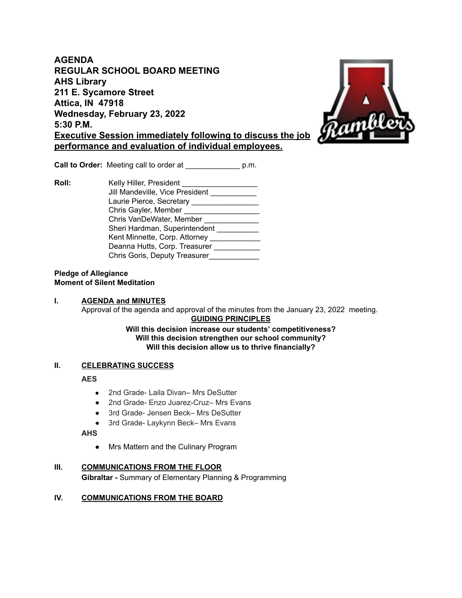**AGENDA REGULAR SCHOOL BOARD MEETING AHS Library 211 E. Sycamore Street Attica, IN 47918 Wednesday, February 23, 2022 5:30 P.M. Executive Session immediately following to discuss the job performance and evaluation of individual employees.**



**Call to Order:** Meeting call to order at \_\_\_\_\_\_\_\_\_\_\_\_\_ p.m.

**Roll:** Kelly Hiller, President Jill Mandeville, Vice President Laurie Pierce, Secretary \_\_\_\_\_\_\_\_\_\_\_\_\_\_\_\_\_\_\_\_ Chris Gayler, Member \_\_\_\_\_\_\_\_\_\_\_\_\_\_\_\_\_\_\_\_\_\_\_ Chris VanDeWater, Member \_\_\_\_\_\_\_\_\_\_\_\_\_\_ Sheri Hardman, Superintendent \_\_\_\_\_\_\_\_\_\_ Kent Minnette, Corp. Attorney Deanna Hutts, Corp. Treasurer Chris Goris, Deputy Treasurer\_\_\_\_\_\_\_\_\_\_\_\_

#### **Pledge of Allegiance Moment of Silent Meditation**

#### **I. AGENDA and MINUTES** Approval of the agenda and approval of the minutes from the January 23, 2022 meeting. **GUIDING PRINCIPLES**

**Will this decision increase our students' competitiveness? Will this decision strengthen our school community? Will this decision allow us to thrive financially?**

# **II. CELEBRATING SUCCESS**

**AES**

- 2nd Grade- Laila Divan– Mrs DeSutter
- 2nd Grade- Enzo Juarez-Cruz– Mrs Evans
- 3rd Grade- Jensen Beck– Mrs DeSutter
- 3rd Grade- Laykynn Beck- Mrs Evans

**AHS**

● Mrs Mattern and the Culinary Program

## **III. COMMUNICATIONS FROM THE FLOOR**

**Gibraltar -** Summary of Elementary Planning & Programming

# **IV. COMMUNICATIONS FROM THE BOARD**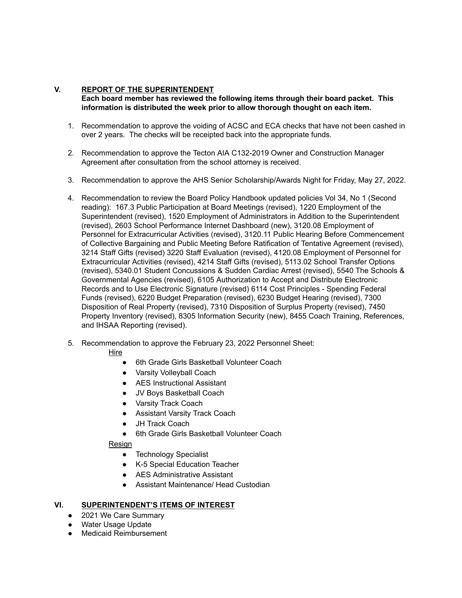# **V. REPORT OF THE SUPERINTENDENT**

**Each board member has reviewed the following items through their board packet. This information is distributed the week prior to allow thorough thought on each item.**

- 1. Recommendation to approve the voiding of ACSC and ECA checks that have not been cashed in over 2 years. The checks will be receipted back into the appropriate funds.
- 2. Recommendation to approve the Tecton AIA C132-2019 Owner and Construction Manager Agreement after consultation from the school attorney is received.
- 3. Recommendation to approve the AHS Senior Scholarship/Awards Night for Friday, May 27, 2022.
- 4. Recommendation to review the Board Policy Handbook updated policies Vol 34, No 1 (Second reading): 167.3 Public Participation at Board Meetings (revised), 1220 Employment of the Superintendent (revised), 1520 Employment of Administrators in Addition to the Superintendent (revised), 2603 School Performance Internet Dashboard (new), 3120.08 Employment of Personnel for Extracurricular Activities (revised), 3120.11 Public Hearing Before Commencement of Collective Bargaining and Public Meeting Before Ratification of Tentative Agreement (revised), 3214 Staff Gifts (revised) 3220 Staff Evaluation (revised), 4120.08 Employment of Personnel for Extracurricular Activities (revised), 4214 Staff Gifts (revised), 5113.02 School Transfer Options (revised), 5340.01 Student Concussions & Sudden Cardiac Arrest (revised), 5540 The Schools & Governmental Agencies (revised), 6105 Authorization to Accept and Distribute Electronic Records and to Use Electronic Signature (revised) 6114 Cost Principles - Spending Federal Funds (revised), 6220 Budget Preparation (revised), 6230 Budget Hearing (revised), 7300 Disposition of Real Property (revised), 7310 Disposition of Surplus Property (revised), 7450 Property Inventory (revised), 8305 Information Security (new), 8455 Coach Training, References, and IHSAA Reporting (revised).
- 5. Recommendation to approve the February 23, 2022 Personnel Sheet:

Hire

- 6th Grade Girls Basketball Volunteer Coach
- Varsity Volleyball Coach
- AES Instructional Assistant
- JV Boys Basketball Coach
- Varsity Track Coach
- Assistant Varsity Track Coach
- JH Track Coach
- 6th Grade Girls Basketball Volunteer Coach

Resign

- Technology Specialist
- K-5 Special Education Teacher
- AES Administrative Assistant
- Assistant Maintenance/ Head Custodian

## **VI. SUPERINTENDENT'S ITEMS OF INTEREST**

- 2021 We Care Summary
- Water Usage Update
- Medicaid Reimbursement